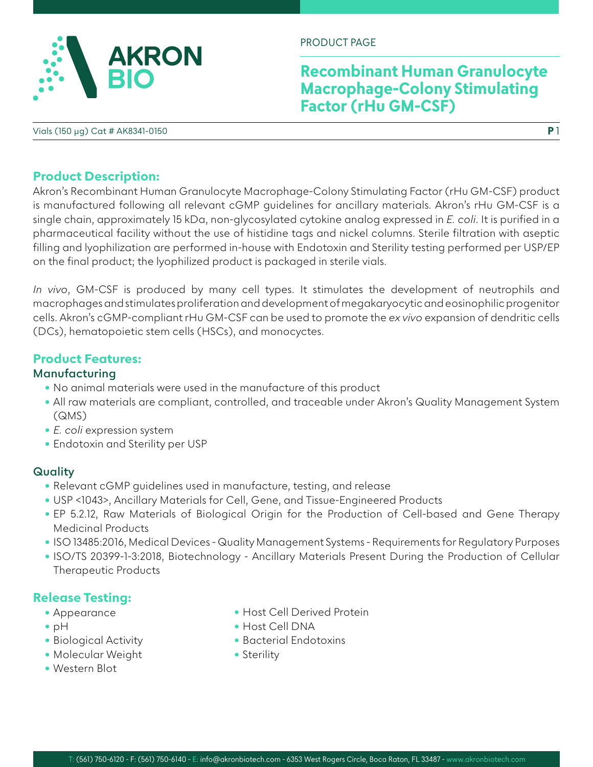

PRODUCT PAGE

## **Recombinant Human Granulocyte Macrophage-Colony Stimulating Factor (rHu GM-CSF)**

**P** 1

Vials (150 µg) Cat # AK8341-0150

### **Product Description:**

Akron's Recombinant Human Granulocyte Macrophage-Colony Stimulating Factor (rHu GM-CSF) product is manufactured following all relevant cGMP guidelines for ancillary materials. Akron's rHu GM-CSF is a single chain, approximately 15 kDa, non-glycosylated cytokine analog expressed in *E. coli*. It is purified in a pharmaceutical facility without the use of histidine tags and nickel columns. Sterile filtration with aseptic filling and lyophilization are performed in-house with Endotoxin and Sterility testing performed per USP/EP on the final product; the lyophilized product is packaged in sterile vials.

*In vivo*, GM-CSF is produced by many cell types. It stimulates the development of neutrophils and macrophages and stimulates proliferation and development of megakaryocytic and eosinophilic progenitor cells. Akron's cGMP-compliant rHu GM-CSF can be used to promote the *ex vivo* expansion of dendritic cells (DCs), hematopoietic stem cells (HSCs), and monocyctes.

### **Product Features:**

#### **Manufacturing**

- No animal materials were used in the manufacture of this product
- All raw materials are compliant, controlled, and traceable under Akron's Quality Management System (QMS)
- *E. coli* expression system
- Endotoxin and Sterility per USP

### **Quality**

- Relevant cGMP guidelines used in manufacture, testing, and release
- USP <1043>, Ancillary Materials for Cell, Gene, and Tissue-Engineered Products
- EP 5.2.12, Raw Materials of Biological Origin for the Production of Cell-based and Gene Therapy Medicinal Products
- ISO 13485:2016, Medical Devices Quality Management Systems Requirements for Regulatory Purposes
- ISO/TS 20399-1-3:2018, Biotechnology Ancillary Materials Present During the Production of Cellular Therapeutic Products

### **Release Testing:**

- Appearance
- pH
- Biological Activity
- Molecular Weight
- Western Blot
- Host Cell Derived Protein
- Host Cell DNA
- Bacterial Endotoxins
- Sterility